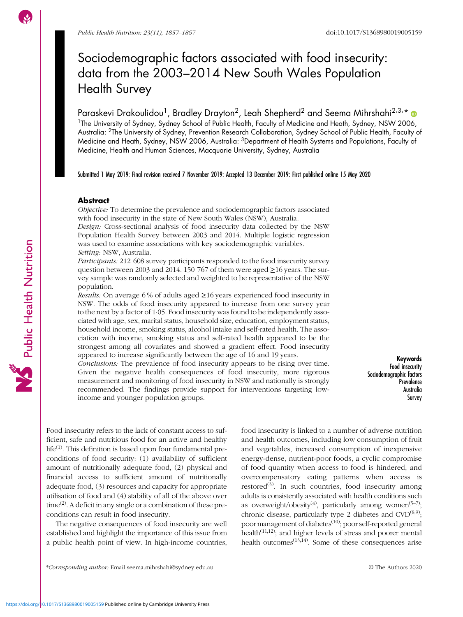# Sociodemographic factors associated with food insecurity: data from the 2003–2014 New South Wales Population Health Survey

Paraskevi Drakoulidou<sup>1</sup>, Bradley Drayton<sup>2</sup>, Leah Shepherd<sup>2</sup> and Seema Mihrshahi<sup>2,3,</sup>\* <sup>1</sup>The University of Sydney, Sydney School of Public Health, Faculty of Medicine and Heath, Sydney, NSW 2006, Australia: 2The University of Sydney, Prevention Research Collaboration, Sydney School of Public Health, Faculty of Medicine and Heath, Sydney, NSW 2006, Australia: 3Department of Health Systems and Populations, Faculty of Medicine, Health and Human Sciences, Macquarie University, Sydney, Australia

Submitted 1 May 2019: Final revision received 7 November 2019: Accepted 13 December 2019: First published online 15 May 2020

# Abstract

Objective: To determine the prevalence and sociodemographic factors associated with food insecurity in the state of New South Wales (NSW), Australia.

Design: Cross-sectional analysis of food insecurity data collected by the NSW Population Health Survey between 2003 and 2014. Multiple logistic regression was used to examine associations with key sociodemographic variables. Setting: NSW, Australia.

Participants: 212 608 survey participants responded to the food insecurity survey question between 2003 and 2014. 150 767 of them were aged  $\geq$ 16 years. The survey sample was randomly selected and weighted to be representative of the NSW population.

Results: On average 6 % of adults aged  $\geq$  16 years experienced food insecurity in NSW. The odds of food insecurity appeared to increase from one survey year to the next by a factor of 1·05. Food insecurity was found to be independently associated with age, sex, marital status, household size, education, employment status, household income, smoking status, alcohol intake and self-rated health. The association with income, smoking status and self-rated health appeared to be the strongest among all covariates and showed a gradient effect. Food insecurity appeared to increase significantly between the age of 16 and 19 years.

Conclusions: The prevalence of food insecurity appears to be rising over time. Given the negative health consequences of food insecurity, more rigorous measurement and monitoring of food insecurity in NSW and nationally is strongly recommended. The findings provide support for interventions targeting lowincome and younger population groups.

Keywords Food insecurity Sociodemographic factors **Prevalence** Australia Survey

Food insecurity refers to the lack of constant access to sufficient, safe and nutritious food for an active and healthy life<sup>[\(1\)](#page-8-0)</sup>. This definition is based upon four fundamental preconditions of food security: (1) availability of sufficient amount of nutritionally adequate food, (2) physical and financial access to sufficient amount of nutritionally adequate food, (3) resources and capacity for appropriate utilisation of food and (4) stability of all of the above over  $time^{(2)}$  $time^{(2)}$  $time^{(2)}$ . A deficit in any single or a combination of these preconditions can result in food insecurity.

The negative consequences of food insecurity are well established and highlight the importance of this issue from a public health point of view. In high-income countries,

\*Corresponding author: Email [seema.mihrshahi@sydney.edu.au](mailto:seema.mihrshahi@sydney.edu.au) © The Authors 2020

food insecurity is linked to a number of adverse nutrition and health outcomes, including low consumption of fruit and vegetables, increased consumption of inexpensive energy-dense, nutrient-poor foods, a cyclic compromise of food quantity when access to food is hindered, and overcompensatory eating patterns when access is restored<sup>[\(3\)](#page-8-0)</sup>. In such countries, food insecurity among adults is consistently associated with health conditions such as overweight/obesity<sup>[\(4](#page-9-0))</sup>, particularly among women<sup>[\(5](#page-9-0)-[7](#page-9-0))</sup>; chronic disease, particularly type 2 diabetes and  $\text{CVD}^{(8,9)}$  $\text{CVD}^{(8,9)}$  $\text{CVD}^{(8,9)}$  $\text{CVD}^{(8,9)}$  $\text{CVD}^{(8,9)}$ ; poor management of diabetes<sup>([10](#page-9-0))</sup>; poor self-reported general health $(11,12)$ ; and higher levels of stress and poorer mental health outcomes $(13,14)$ . Some of these consequences arise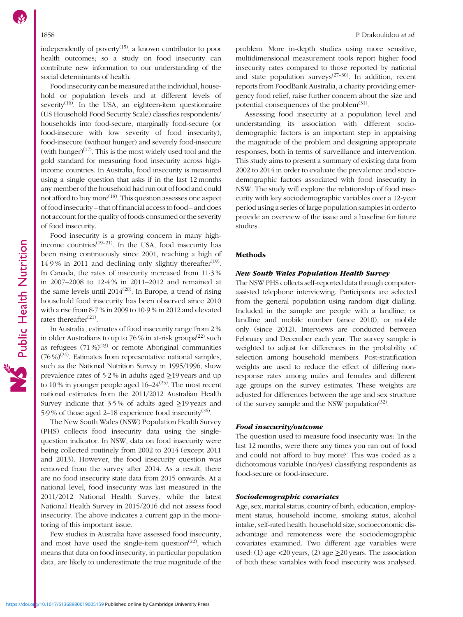independently of poverty $(15)$  $(15)$  $(15)$ , a known contributor to poor health outcomes; so a study on food insecurity can contribute new information to our understanding of the social determinants of health.

Food insecurity can be measured at the individual, household or population levels and at different levels of severity<sup> $(16)$  $(16)$ </sup>. In the USA, an eighteen-item questionnaire (US Household Food Security Scale) classifies respondents/ households into food-secure, marginally food-secure (or food-insecure with low severity of food insecurity), food-insecure (without hunger) and severely food-insecure (with hunger) $(17)$ . This is the most widely used tool and the gold standard for measuring food insecurity across highincome countries. In Australia, food insecurity is measured using a single question that asks if in the last 12 months any member of the household had run out of food and could not afford to buy more<sup>([18](#page-9-0))</sup>. This question assesses one aspect of food insecurity – that of financial access to food – and does not account for the quality of foods consumed or the severity of food insecurity.

Food insecurity is a growing concern in many highincome countries<sup> $(19-21)$  $(19-21)$  $(19-21)$  $(19-21)$  $(19-21)$ </sup>. In the USA, food insecurity has been rising continuously since 2001, reaching a high of 14.9% in 2011 and declining only slightly thereafter<sup>[\(19](#page-9-0))</sup>. In Canada, the rates of insecurity increased from 11·3 % in 2007–2008 to 12·4 % in 2011–2012 and remained at the same levels until  $2014^{(20)}$  $2014^{(20)}$  $2014^{(20)}$ . In Europe, a trend of rising household food insecurity has been observed since 2010 with a rise from 8·7 % in 2009 to 10·9 % in 2012 and elevated rates thereafter $^{(21)}$  $^{(21)}$  $^{(21)}$ .

In Australia, estimates of food insecurity range from 2 % in older Australians to up to 76 % in at-risk groups<sup> $(22)$  $(22)$  $(22)$ </sup> such as refugees  $(71\%)^{(23)}$  $(71\%)^{(23)}$  $(71\%)^{(23)}$  or remote Aboriginal communities  $(76\%)^{(24)}$  $(76\%)^{(24)}$  $(76\%)^{(24)}$ . Estimates from representative national samples, such as the National Nutrition Survey in 1995/1996, show prevalence rates of 5·2 % in adults aged ≥19 years and up to 10 % in younger people aged  $16-24<sup>(25)</sup>$  $16-24<sup>(25)</sup>$  $16-24<sup>(25)</sup>$ . The most recent national estimates from the 2011/2012 Australian Health Survey indicate that 3·5 % of adults aged ≥19 years and 5.9% of those aged 2–18 experience food insecurity<sup>[\(26\)](#page-9-0)</sup>.

The New South Wales (NSW) Population Health Survey (PHS) collects food insecurity data using the singlequestion indicator. In NSW, data on food insecurity were being collected routinely from 2002 to 2014 (except 2011 and 2013). However, the food insecurity question was removed from the survey after 2014. As a result, there are no food insecurity state data from 2015 onwards. At a national level, food insecurity was last measured in the 2011/2012 National Health Survey, while the latest National Health Survey in 2015/2016 did not assess food insecurity. The above indicates a current gap in the monitoring of this important issue.

Few studies in Australia have assessed food insecurity, and most have used the single-item question<sup> $(22)$  $(22)$  $(22)$ </sup>, which means that data on food insecurity, in particular population data, are likely to underestimate the true magnitude of the

problem. More in-depth studies using more sensitive, multidimensional measurement tools report higher food insecurity rates compared to those reported by national and state population surveys<sup> $(27-30)$  $(27-30)$  $(27-30)$ </sup>. In addition, recent reports from FoodBank Australia, a charity providing emergency food relief, raise further concern about the size and potential consequences of the problem $(31)$  $(31)$  $(31)$ .

Assessing food insecurity at a population level and understanding its association with different sociodemographic factors is an important step in appraising the magnitude of the problem and designing appropriate responses, both in terms of surveillance and intervention. This study aims to present a summary of existing data from 2002 to 2014 in order to evaluate the prevalence and sociodemographic factors associated with food insecurity in NSW. The study will explore the relationship of food insecurity with key sociodemographic variables over a 12-year period using a series of large population samples in order to provide an overview of the issue and a baseline for future studies.

# **Methods**

### New South Wales Population Health Survey

The NSW PHS collects self-reported data through computerassisted telephone interviewing. Participants are selected from the general population using random digit dialling. Included in the sample are people with a landline, or landline and mobile number (since 2010), or mobile only (since 2012). Interviews are conducted between February and December each year. The survey sample is weighted to adjust for differences in the probability of selection among household members. Post-stratification weights are used to reduce the effect of differing nonresponse rates among males and females and different age groups on the survey estimates. These weights are adjusted for differences between the age and sex structure of the survey sample and the NSW population<sup> $(32)$ </sup>.

# Food insecurity/outcome

The question used to measure food insecurity was: 'In the last 12 months, were there any times you ran out of food and could not afford to buy more?' This was coded as a dichotomous variable (no/yes) classifying respondents as food-secure or food-insecure.

## Sociodemographic covariates

Age, sex, marital status, country of birth, education, employment status, household income, smoking status, alcohol intake, self-rated health, household size, socioeconomic disadvantage and remoteness were the sociodemographic covariates examined. Two different age variables were used: (1) age  $\lt 20$  years, (2) age  $\geq 20$  years. The association of both these variables with food insecurity was analysed.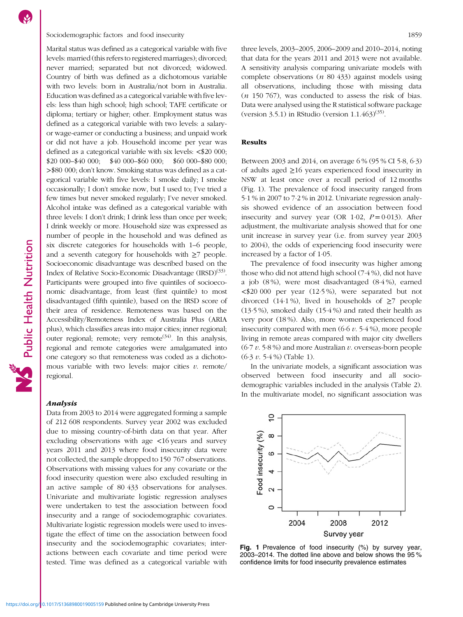# <span id="page-2-0"></span>Sociodemographic factors and food insecurity 1859

Marital status was defined as a categorical variable with five levels: married (this refers to registered marriages); divorced; never married; separated but not divorced; widowed. Country of birth was defined as a dichotomous variable with two levels: born in Australia/not born in Australia. Education was defined as a categorical variable with five levels: less than high school; high school; TAFE certificate or diploma; tertiary or higher; other. Employment status was defined as a categorical variable with two levels: a salaryor wage-earner or conducting a business; and unpaid work or did not have a job. Household income per year was defined as a categorical variable with six levels: <\$20 000; \$20 000–\$40 000; \$40 000–\$60 000; \$60 000–\$80 000; >\$80 000; don't know. Smoking status was defined as a categorical variable with five levels: I smoke daily; I smoke occasionally; I don't smoke now, but I used to; I've tried a few times but never smoked regularly; I've never smoked. Alcohol intake was defined as a categorical variable with three levels: I don't drink; I drink less than once per week; I drink weekly or more. Household size was expressed as number of people in the household and was defined as six discrete categories for households with 1–6 people, and a seventh category for households with  $\geq$ 7 people. Socioeconomic disadvantage was described based on the Index of Relative Socio-Economic Disadvantage (IRSD)<sup>([33](#page-9-0))</sup>. Participants were grouped into five quintiles of socioeconomic disadvantage, from least (first quintile) to most disadvantaged (fifth quintile), based on the IRSD score of their area of residence. Remoteness was based on the Accessibility/Remoteness Index of Australia Plus (ARIA plus), which classifies areas into major cities; inner regional; outer regional; remote; very remote  $(34)$ . In this analysis, regional and remote categories were amalgamated into one category so that remoteness was coded as a dichotomous variable with two levels: major cities  $v$ . remote/ regional.

# Analysis

Data from 2003 to 2014 were aggregated forming a sample of 212 608 respondents. Survey year 2002 was excluded due to missing country-of-birth data on that year. After excluding observations with age <16 years and survey years 2011 and 2013 where food insecurity data were not collected, the sample dropped to 150 767 observations. Observations with missing values for any covariate or the food insecurity question were also excluded resulting in an active sample of 80 433 observations for analyses. Univariate and multivariate logistic regression analyses were undertaken to test the association between food insecurity and a range of sociodemographic covariates. Multivariate logistic regression models were used to investigate the effect of time on the association between food insecurity and the sociodemographic covariates; interactions between each covariate and time period were tested. Time was defined as a categorical variable with three levels, 2003–2005, 2006–2009 and 2010–2014, noting that data for the years 2011 and 2013 were not available. A sensitivity analysis comparing univariate models with complete observations  $(n 80 433)$  against models using all observations, including those with missing data  $(n 150 767)$ , was conducted to assess the risk of bias. Data were analysed using the R statistical software package (version 3.5.1) in RStudio (version  $1.1.463(^{35)}$ .

# Results

Between 2003 and 2014, on average 6 % (95 % CI 5·8, 6·3) of adults aged ≥16 years experienced food insecurity in NSW at least once over a recall period of 12 months (Fig. 1). The prevalence of food insecurity ranged from 5·1 % in 2007 to 7·2 % in 2012. Univariate regression analysis showed evidence of an association between food insecurity and survey year (OR 1.02,  $P = 0.013$ ). After adjustment, the multivariate analysis showed that for one unit increase in survey year (i.e. from survey year 2003 to 2004), the odds of experiencing food insecurity were increased by a factor of 1·05.

The prevalence of food insecurity was higher among those who did not attend high school (7·4 %), did not have a job (8 %), were most disadvantaged (8·4 %), earned <\$20 000 per year (12·5 %), were separated but not divorced (14·1%), lived in households of  $\geq$ 7 people (13·5 %), smoked daily (15·4 %) and rated their health as very poor (18 %). Also, more women experienced food insecurity compared with men  $(6.6 v. 5.4 \%)$ , more people living in remote areas compared with major city dwellers  $(6.7 v. 5.8%)$  and more Australian v. overseas-born people  $(6.3 v. 5.4\%)$  (Table [1](#page-3-0)).

In the univariate models, a significant association was observed between food insecurity and all sociodemographic variables included in the analysis (Table [2](#page-4-0)). In the multivariate model, no significant association was



Fig. 1 Prevalence of food insecurity (%) by survey year, 2003–2014. The dotted line above and below shows the 95 % confidence limits for food insecurity prevalence estimates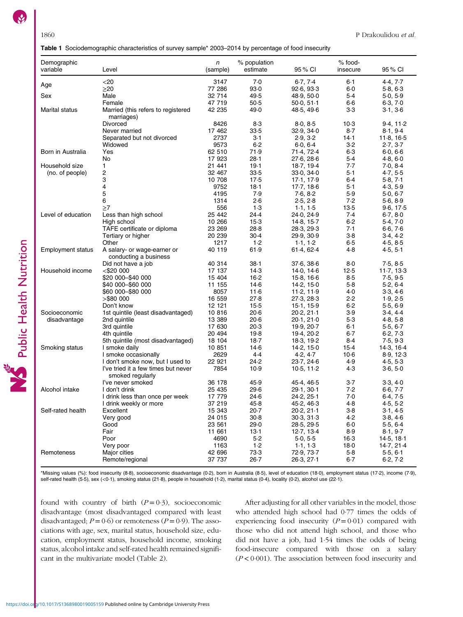<span id="page-3-0"></span>

| Table 1 Sociodemographic characteristics of survey sample* 2003-2014 by percentage of food insecurity |  |  |
|-------------------------------------------------------------------------------------------------------|--|--|
|                                                                                                       |  |  |

| Demographic              |                                                         | n                | % population     |                          | % food-          |                      |
|--------------------------|---------------------------------------------------------|------------------|------------------|--------------------------|------------------|----------------------|
| variable                 | Level                                                   | (sample)         | estimate         | 95 % CI                  | insecure         | 95 % CI              |
|                          | $<$ 20                                                  | 3147             | 7.0              | 6.7, 7.4                 | $6-1$            | 4.4, 7.7             |
| Age                      | $\geq$ 20                                               | 77 286           | 93.0             | 92.6, 93.3               | $6-0$            | 5.8, 6.3             |
| Sex                      | Male                                                    | 32 714           | 49.5             | 48.9, 50.0               | $5-4$            | 5.0, 5.9             |
|                          | Female                                                  | 47 719           | $50-5$           | 50.0, 51.1               | $6-6$            | 6.3, 7.0             |
|                          | Married (this refers to registered                      |                  |                  |                          |                  |                      |
| Marital status           | marriages)                                              | 42 235           | 49.0             | 48.5, 49.6               | $3-3$            | 3.1, 3.6             |
|                          | Divorced                                                | 8426             | 8.3              | 8.0, 8.5                 | $10-3$           | 9.4, 11.2            |
|                          | Never married                                           | 17 462           | 33.5             | 32.9, 34.0               | $8-7$            | 8.1, 9.4             |
|                          | Separated but not divorced                              | 2737             | $3-1$            | 2.9, 3.2                 | 14.1             | 11.8, 16.5           |
|                          | Widowed                                                 | 9573             | 6.2              | 6.0, 6.4                 | $3-2$            | 2.7, 3.7             |
| Born in Australia        | Yes                                                     | 62 510           | 71.9             | 71.4, 72.4               | $6-3$            | 6.0, 6.6             |
|                          | No                                                      | 17 923           | 28.1             | 27.6, 28.6               | 5.4              | 4.8, 6.0             |
| Household size           | 1                                                       | 21 441           | 19.1             | 18.7, 19.4               | 7.7              | 7.0, 8.4             |
| (no. of people)          | 2                                                       | 32 467           | 33.5             | 33.0, 34.0               | 5.1              | 4.7, 5.5             |
|                          | 3                                                       | 10 708           | $17-5$           | 17.1, 17.9               | 6.4              | 5.8, 7.1             |
|                          | 4                                                       | 9752             | 18.1             | 17.7, 18.6               | 5.1              | 4.3, 5.9             |
|                          | 5                                                       | 4195             | 7.9              | 7.6, 8.2                 | 5.9              | 5.0, 6.7             |
|                          | 6                                                       | 1314             | 2.6              | 2.5, 2.8                 | 7.2              | 5.6, 8.9             |
|                          | $\geq$ 7                                                | 556              | 1.3              | 1.1, 1.5                 | $13-5$           | 9.6, 17.5            |
| Level of education       | Less than high school                                   | 25 442           | 24.4             | 24.0, 24.9               | 7.4              | 6.7, 8.0             |
|                          | High school                                             | 10 266           | $15-3$           | 14.8, 15.7               | 6.2              | 5.4, 7.0             |
|                          | TAFE certificate or diploma                             | 23 269           | 28.8             | 28.3, 29.3               | 7.1              | 6.6, 7.6             |
|                          | Tertiary or higher                                      | 20 239           | $30-4$           | 29.9, 30.9               | $3-8$            | 3.4, 4.2             |
|                          | Other                                                   | 1217             | 1.2              | 1.1, 1.2                 | $6 - 5$          | 4.5, 8.5             |
| <b>Employment status</b> | A salary- or wage-earner or<br>conducting a business    | 40 119           | 61.9             | 61.4, 62.4               | 4.8              | 4.5, 5.1             |
|                          | Did not have a job                                      | 40 314           | $38-1$           | 37.6, 38.6               | $8-0$            | 7.5, 8.5             |
| Household income         | $<$ \$20 000                                            | 17 137           | 14.3             | 14.0, 14.6               | 12.5             | 11.7, 13.3           |
|                          | \$20 000–\$40 000                                       | 15 404           | $16-2$           | 15.8, 16.6               | 8.5              | 7.5, 9.5             |
|                          | \$40 000–\$60 000                                       | 11 155           | 14.6             | 14.2, 15.0               | $5-8$            | 5.2, 6.4             |
|                          | \$60 000–\$80 000                                       | 8057             | 11.6             | 11.2, 11.9               | 4.0              | 3.3, 4.6             |
|                          | >\$80 000                                               | 16 559           | 27.8             | 27.3, 28.3               | 2.2              | 1.9, 2.5             |
|                          | Don't know                                              | 12 121           | $15-5$           | 15.1, 15.9               | $6-2$            | 5.5, 6.9             |
| Socioeconomic            | 1st quintile (least disadvantaged)                      | 10816            | $20-6$           | 20.2, 21.1               | 3.9              | 3.4, 4.4             |
| disadvantage             | 2nd quintile                                            | 13 389           | $20-6$           | 20.1, 21.0               | $5-3$            | 4.8, 5.8             |
|                          | 3rd quintile                                            | 17 630           | 20.3             | 19.9, 20.7               | $6-1$            | 5.5, 6.7             |
|                          | 4th quintile                                            | 20 494           | 19.8             | 19.4, 20.2               | $6-7$            | 6.2, 7.3             |
|                          | 5th quintile (most disadvantaged)                       | 18 104           | $18-7$           | 18.3, 19.2               | 8.4              | 7.5, 9.3             |
| Smoking status           | I smoke daily                                           | 10 851           | $14-6$           | 14.2, 15.0               | 15.4             | 14.3, 16.4           |
|                          | I smoke occasionally                                    | 2629             | 4.4              | 4.2, 4.7                 | $10-6$           | 8.9, 12.3            |
|                          | I don't smoke now, but I used to                        | 22 921           | 24.2             | 23.7, 24.6               | 4.9              | 4.5, 5.3             |
|                          | I've tried it a few times but never<br>smoked regularly | 7854             | 10.9             | 10.5, 11.2               | 4.3              | 3.6, 5.0             |
|                          | I've never smoked                                       | 36 178           | 45.9             | 45.4, 46.5               | $3-7$            | 3.3, 4.0             |
| Alcohol intake           | I don't drink                                           | 25 435           | 29.6             | 29.1, 30.1               | 7.2              | 6.6, 7.7             |
|                          | I drink less than once per week                         | 17 779           | 24.6             | 24.2, 25.1               | 7.0              | 6.4, 7.5             |
|                          | I drink weekly or more                                  | 37 219           | 45.8             | 45.2, 46.3               | 4.8              | 4.5, 5.2             |
| Self-rated health        | Excellent                                               | 15 343           | 20.7             | 20.2, 21.1               | $3-8$            | 3.1, 4.5             |
|                          | Very good                                               | 24 015           | $30 - 8$         | 30.3, 31.3               | 4.2              | 3.8, 4.6             |
|                          | Good                                                    | 23 561           | 29.0             | 28.5, 29.5               | $6-0$            | 5.5, 6.4             |
|                          | Fair                                                    | 11 661           | $13-1$           | 12.7.13.4                | 8.9              | 8.1, 9.7             |
|                          | Poor                                                    | 4690             | $5-2$            |                          |                  |                      |
|                          |                                                         |                  |                  | 5.0, 5.5                 | $16-3$           | 14.5, 18.1           |
|                          | Very poor                                               | 1163             | 1.2              | 1.1, 1.3                 | 18.0             | 14.7, 21.4           |
| Remoteness               | Major cities<br>Remote/regional                         | 42 696<br>37 737 | 73.3<br>$26 - 7$ | 72.9, 73.7<br>26.3, 27.1 | $5-8$<br>$6 - 7$ | 5.5, 6.1<br>6.2, 7.2 |

\*Missing values (%): food insecurity (8·8), socioeconomic disadvantage (0·2), born in Australia (8·5), level of education (18·0), employment status (17·2), income (7·9), self-rated health (5-5), sex (<0-1), smoking status (21-8), people in household (1-2), marital status (0-4), locality (0-2), alcohol use (22-1).

found with country of birth  $(P=0.3)$ , socioeconomic disadvantage (most disadvantaged compared with least disadvantaged;  $P = 0.6$ ) or remoteness ( $P = 0.9$ ). The associations with age, sex, marital status, household size, education, employment status, household income, smoking status, alcohol intake and self-rated health remained significant in the multivariate model (Table [2\)](#page-4-0).

After adjusting for all other variables in the model, those who attended high school had 0·77 times the odds of experiencing food insecurity  $(P = 0.01)$  compared with those who did not attend high school, and those who did not have a job, had 1·54 times the odds of being food-insecure compared with those on a salary  $(P < 0.001)$ . The association between food insecurity and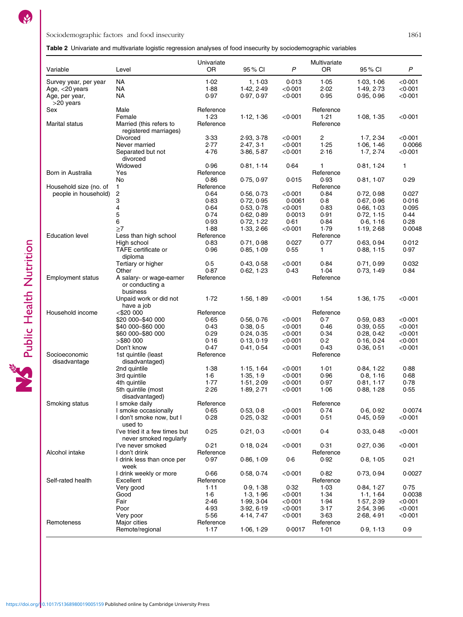# <span id="page-4-0"></span>Table 2 Univariate and multivariate logistic regression analyses of food insecurity by sociodemographic variables

| Variable                                   | Level                                                                        | Univariate<br>OR     | 95 % CI                  | $\mathsf{P}$                           | Multivariate<br>OR | 95 % CI                  | $\boldsymbol{P}$                |
|--------------------------------------------|------------------------------------------------------------------------------|----------------------|--------------------------|----------------------------------------|--------------------|--------------------------|---------------------------------|
| Survey year, per year<br>Age, $<$ 20 years | NA<br>ΝA<br>NA                                                               | 1.02<br>1.88<br>0.97 | 1.1.03<br>1.42, 2.49     | 0.013<br>$<$ 0 $\cdot$ 001<br>< 0.001  | 1.05<br>2.02       | 1.03, 1.06<br>1.49, 2.73 | < 0.001<br>$<$ 0.001<br>< 0.001 |
| Age, per year,<br>>20 years                |                                                                              |                      | 0.97, 0.97               |                                        | 0.95               | 0.95, 0.96               |                                 |
| Sex                                        | Male                                                                         | Reference            |                          |                                        | Reference          |                          |                                 |
|                                            | Female                                                                       | 1.23                 | 1.12, 1.36               | $<$ 0 $\cdot$ 001                      | 1.21               | 1.08, 1.35               | $<$ 0 $\cdot$ 001               |
| Marital status                             | Married (this refers to<br>registered marriages)                             | Reference            |                          |                                        | Reference          |                          |                                 |
|                                            | Divorced<br>Never married                                                    | 3.33<br>2.77         | 2.93, 3.78               | < 0.001<br>$<$ 0 $\cdot$ 001           | 2<br>1.25          | 1.7, 2.34                | < 0.001<br>0.0066               |
|                                            | Separated but not<br>divorced                                                | 4.76                 | 2.47, 3.1<br>3.86, 5.87  | $<$ 0.001                              | 2.16               | 1.06, 1.46<br>1.7, 2.74  | $<$ 0 $\cdot$ 001               |
|                                            | Widowed                                                                      | 0.96                 | 0.81, 1.14               | 0.64                                   | 1                  | 0.81, 1.24               | 1                               |
| Born in Australia                          | Yes                                                                          | Reference            |                          |                                        | Reference          |                          |                                 |
|                                            | No                                                                           | 0.86                 | 0.75, 0.97               | 0.015                                  | 0.93               | 0.81, 1.07               | 0.29                            |
| Household size (no. of                     | 1                                                                            | Reference            |                          |                                        | Reference          |                          |                                 |
| people in household)                       | 2<br>3                                                                       | 0.64<br>0.83         | 0.56, 0.73               | $<$ 0 $\cdot$ 001<br>0.0061            | 0.84<br>0.8        | 0.72, 0.98               | 0.027<br>0.016                  |
|                                            | 4                                                                            | 0.64                 | 0.72, 0.95<br>0.53, 0.78 | $<$ 0 $\cdot$ 001                      | 0.83               | 0.67, 0.96<br>0.66, 1.03 | 0.095                           |
|                                            | 5                                                                            | 0.74                 | 0.62, 0.89               | 0.0013                                 | 0.91               | 0.72, 1.15               | 0.44                            |
|                                            | 6                                                                            | 0.93                 | 0.72, 1.22               | 0.61                                   | 0.84               | 0.6, 1.16                | 0.28                            |
|                                            | $\geq$ 7                                                                     | 1.88                 | 1.33, 2.66               | $<$ 0.001                              | 1.79               | 1.19, 2.68               | 0.0048                          |
| <b>Education level</b>                     | Less than high school                                                        | Reference            |                          |                                        | Reference          |                          |                                 |
|                                            | High school                                                                  | 0.83                 | 0.71, 0.98               | 0.027                                  | 0.77               | 0.63, 0.94               | 0.012                           |
|                                            | TAFE certificate or<br>diploma                                               | 0.96                 | 0.85, 1.09               | 0.55                                   | 1                  | 0.88, 1.15               | 0.97                            |
|                                            | Tertiary or higher                                                           | 0.5                  | 0.43, 0.58               | $<$ 0.001                              | 0.84               | 0.71, 0.99               | 0.032                           |
|                                            | Other                                                                        | 0.87                 | 0.62, 1.23               | 0.43                                   | 1.04               | 0.73, 1.49               | 0.84                            |
| <b>Employment status</b>                   | A salary- or wage-earner<br>or conducting a<br>business                      | Reference            |                          |                                        | Reference          |                          |                                 |
|                                            | Unpaid work or did not<br>have a job                                         | 1.72                 | 1.56, 1.89               | $<$ 0.001                              | 1.54               | 1.36, 1.75               | $<$ 0 $\cdot$ 001               |
| Household income                           | $<$ \$20 000                                                                 | Reference            |                          |                                        | Reference          |                          |                                 |
|                                            | \$20 000 - \$40 000                                                          | 0.65                 | 0.56, 0.76               | $<$ 0 $\cdot$ 001                      | 0.7                | 0.59, 0.83               | $<$ 0 $\cdot$ 001               |
|                                            | \$40 000 - \$60 000                                                          | 0.43                 | 0.38, 0.5                | $<$ 0 $\cdot$ 001                      | 0.46               | 0.39, 0.55               | $<$ 0 $\cdot$ 001               |
|                                            | \$60 000 - \$80 000                                                          | 0.29                 | 0.24, 0.35               | $<$ 0 $\cdot$ 001                      | 0.34               | 0.28, 0.42               | < 0.001                         |
|                                            | $>$ \$80 000<br>Don't know                                                   | 0.16<br>0.47         | 0.13, 0.19               | $<$ 0 $\cdot$ 001<br>$<$ 0.001         | 0.2<br>0.43        | 0.16, 0.24               | $<$ 0 $\cdot$ 001<br>< 0.001    |
| Socioeconomic                              | 1st quintile (least                                                          | Reference            | 0.41, 0.54               |                                        | Reference          | 0.36, 0.51               |                                 |
| disadvantage                               | disadvantaged)                                                               |                      |                          |                                        |                    |                          |                                 |
|                                            | 2nd quintile                                                                 | 1.38                 | 1.15, 1.64               | $<$ 0 $\cdot$ 001                      | 1.01               | 0.84, 1.22               | 0.88                            |
|                                            | 3rd quintile                                                                 | 1·6                  | 1.35, 1.9                | $<$ 0 $\cdot$ 001                      | 0.96               | 0.8, 1.16                | 0.68                            |
|                                            | 4th quintile                                                                 | 1.77                 | 1.51, 2.09               | $<$ 0 $\cdot$ 001                      | 0.97               | 0.81, 1.17               | 0.78                            |
|                                            | 5th quintile (most                                                           | 2.26                 | 1.89, 2.71               | < 0.001                                | 1.06               | 0.88, 1.28               | 0.55                            |
|                                            | disadvantaged)                                                               |                      |                          |                                        |                    |                          |                                 |
| Smoking status                             | I smoke daily                                                                | Reference            |                          |                                        | Reference          |                          |                                 |
|                                            | I smoke occasionally                                                         | 0.65                 | 0.53, 0.8                | $<$ 0 $\cdot$ 001                      | 0.74               | 0.6, 0.92                | 0.0074                          |
|                                            | I don't smoke now, but I<br>used to                                          | 0.28                 | 0.25, 0.32               | $<$ 0 $\cdot$ 001                      | 0.51               | 0.45, 0.59               | $<$ 0 $\cdot$ 001               |
|                                            | I've tried it a few times but<br>never smoked regularly<br>I've never smoked | 0.25<br>0.21         | 0.21, 0.3<br>0.18, 0.24  | $<$ 0 $\cdot$ 001<br>$<$ 0 $\cdot$ 001 | 0.4<br>0.31        | 0.33, 0.48<br>0.27, 0.36 | <0.001<br>$<$ 0 $\cdot$ 001     |
| Alcohol intake                             | I don't drink                                                                | Reference            |                          |                                        | Reference          |                          |                                 |
|                                            | I drink less than once per<br>week                                           | 0.97                 | 0.86, 1.09               | 0.6                                    | 0.92               | 0.8, 1.05                | 0.21                            |
|                                            | I drink weekly or more                                                       | 0.66                 | 0.58, 0.74               | $<$ 0 $\cdot$ 001                      | 0.82               | 0.73, 0.94               | 0.0027                          |
| Self-rated health                          | Excellent                                                                    | Reference            |                          |                                        | Reference          |                          |                                 |
|                                            | Very good                                                                    | 1.11                 | 0.9, 1.38                | 0.32                                   | 1.03               | 0.84, 1.27               | 0.75                            |
|                                            | Good                                                                         | 1·6                  | 1.3, 1.96                | $<$ 0 $\cdot$ 001                      | 1.34               | 1.1, 1.64                | 0.0038                          |
|                                            | Fair                                                                         | 2.46                 | 1.99, 3.04               | $<$ 0.001                              | 1.94               | 1.57, 2.39               | $<$ 0 $\cdot$ 001               |
|                                            | Poor                                                                         | 4.93                 | 3.92, 6.19               | $<$ 0 $\cdot$ 001                      | 3.17               | 2.54, 3.96               | < 0.001                         |
|                                            | Very poor                                                                    | 5.56                 | 4.14, 7.47               | $<$ 0 $\cdot$ 001                      | 3.63               | 2.68, 4.91               | < 0.001                         |
| Remoteness                                 | Major cities<br>Remote/regional                                              | Reference<br>1.17    | 1.06, 1.29               | 0.0017                                 | Reference<br>1.01  | 0.9, 1.13                | 0.9                             |
|                                            |                                                                              |                      |                          |                                        |                    |                          |                                 |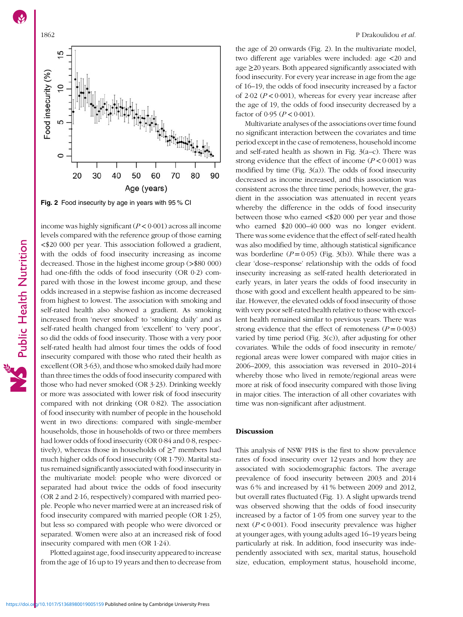

Fig. 2 Food insecurity by age in years with 95 % CI

income was highly significant  $(P < 0.001)$  across all income levels compared with the reference group of those earning <\$20 000 per year. This association followed a gradient, with the odds of food insecurity increasing as income decreased. Those in the highest income group (>\$80 000) had one-fifth the odds of food insecurity (OR 0·2) compared with those in the lowest income group, and these odds increased in a stepwise fashion as income decreased from highest to lowest. The association with smoking and self-rated health also showed a gradient. As smoking increased from 'never smoked' to 'smoking daily' and as self-rated health changed from 'excellent' to 'very poor', so did the odds of food insecurity. Those with a very poor self-rated health had almost four times the odds of food insecurity compared with those who rated their health as excellent (OR 3·63), and those who smoked daily had more than three times the odds of food insecurity compared with those who had never smoked (OR 3·23). Drinking weekly or more was associated with lower risk of food insecurity compared with not drinking (OR 0·82). The association of food insecurity with number of people in the household went in two directions: compared with single-member households, those in households of two or three members had lower odds of food insecurity (OR 0·84 and 0·8, respectively), whereas those in households of  $\geq$ 7 members had much higher odds of food insecurity (OR 1·79). Marital status remained significantly associated with food insecurity in the multivariate model: people who were divorced or separated had about twice the odds of food insecurity (OR 2 and 2·16, respectively) compared with married people. People who never married were at an increased risk of food insecurity compared with married people (OR 1·25), but less so compared with people who were divorced or separated. Women were also at an increased risk of food insecurity compared with men (OR 1·24).

Plotted against age, food insecurity appeared to increase from the age of 16 up to 19 years and then to decrease from

the age of 20 onwards (Fig. 2). In the multivariate model, two different age variables were included: age <20 and age ≥20 years. Both appeared significantly associated with food insecurity. For every year increase in age from the age of 16–19, the odds of food insecurity increased by a factor of 2.02 ( $P < 0.001$ ), whereas for every year increase after the age of 19, the odds of food insecurity decreased by a factor of 0.95 ( $P < 0.001$ ).

Multivariate analyses of the associations over time found no significant interaction between the covariates and time period except in the case of remoteness, household income and self-rated health as shown in Fig. [3\(](#page-6-0)a–c). There was strong evidence that the effect of income  $(P < 0.001)$  was modified by time (Fig.  $3(a)$ ). The odds of food insecurity decreased as income increased, and this association was consistent across the three time periods; however, the gradient in the association was attenuated in recent years whereby the difference in the odds of food insecurity between those who earned <\$20 000 per year and those who earned \$20 000–40 000 was no longer evident. There was some evidence that the effect of self-rated health was also modified by time, although statistical significance was borderline  $(P = 0.05)$  (Fig. [3](#page-6-0)(b)). While there was a clear 'dose–response' relationship with the odds of food insecurity increasing as self-rated health deteriorated in early years, in later years the odds of food insecurity in those with good and excellent health appeared to be similar. However, the elevated odds of food insecurity of those with very poor self-rated health relative to those with excellent health remained similar to previous years. There was strong evidence that the effect of remoteness  $(P = 0.003)$ varied by time period (Fig. [3](#page-6-0)(c)), after adjusting for other covariates. While the odds of food insecurity in remote/ regional areas were lower compared with major cities in 2006–2009, this association was reversed in 2010–2014 whereby those who lived in remote/regional areas were more at risk of food insecurity compared with those living in major cities. The interaction of all other covariates with time was non-significant after adjustment.

# **Discussion**

This analysis of NSW PHS is the first to show prevalence rates of food insecurity over 12 years and how they are associated with sociodemographic factors. The average prevalence of food insecurity between 2003 and 2014 was 6 % and increased by 41 % between 2009 and 2012, but overall rates fluctuated (Fig. [1](#page-2-0)). A slight upwards trend was observed showing that the odds of food insecurity increased by a factor of 1·05 from one survey year to the next ( $P < 0.001$ ). Food insecurity prevalence was higher at younger ages, with young adults aged 16–19 years being particularly at risk. In addition, food insecurity was independently associated with sex, marital status, household size, education, employment status, household income,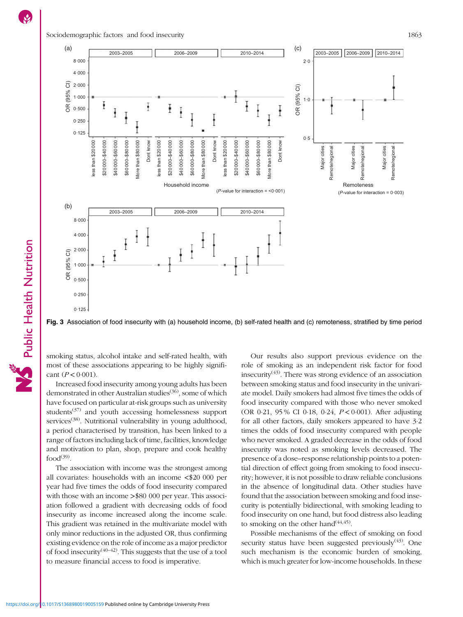<span id="page-6-0"></span>

Fig. 3 Association of food insecurity with (a) household income, (b) self-rated health and (c) remoteness, stratified by time period

smoking status, alcohol intake and self-rated health, with most of these associations appearing to be highly significant  $(P < 0.001)$ .

Increased food insecurity among young adults has been demonstrated in other Australian studies<sup>([36\)](#page-9-0)</sup>, some of which have focused on particular at-risk groups such as university students $(37)$  and youth accessing homelessness support services<sup> $(38)$  $(38)$  $(38)$ </sup>. Nutritional vulnerability in young adulthood, a period characterised by transition, has been linked to a range of factors including lack of time, facilities, knowledge and motivation to plan, shop, prepare and cook healthy  $food<sup>(39)</sup>$  $food<sup>(39)</sup>$  $food<sup>(39)</sup>$ .

The association with income was the strongest among all covariates: households with an income <\$20 000 per year had five times the odds of food insecurity compared with those with an income >\$80 000 per year. This association followed a gradient with decreasing odds of food insecurity as income increased along the income scale. This gradient was retained in the multivariate model with only minor reductions in the adjusted OR, thus confirming existing evidence on the role of income as a major predictor of food insecurity<sup> $(40-42)$  $(40-42)$  $(40-42)$ </sup>. This suggests that the use of a tool to measure financial access to food is imperative.

Our results also support previous evidence on the role of smoking as an independent risk factor for food insecurity<sup> $(43)$  $(43)$  $(43)$ </sup>. There was strong evidence of an association between smoking status and food insecurity in the univariate model. Daily smokers had almost five times the odds of food insecurity compared with those who never smoked (OR 0·21, 95 % CI 0·18, 0·24, P < 0·001). After adjusting for all other factors, daily smokers appeared to have 3·2 times the odds of food insecurity compared with people who never smoked. A graded decrease in the odds of food insecurity was noted as smoking levels decreased. The presence of a dose–response relationship points to a potential direction of effect going from smoking to food insecurity; however, it is not possible to draw reliable conclusions in the absence of longitudinal data. Other studies have found that the association between smoking and food insecurity is potentially bidirectional, with smoking leading to food insecurity on one hand, but food distress also leading to smoking on the other hand  $(44, 45)$  $(44, 45)$  $(44, 45)$  $(44, 45)$ .

Possible mechanisms of the effect of smoking on food security status have been suggested previously $(43)$  $(43)$  $(43)$ . One such mechanism is the economic burden of smoking, which is much greater for low-income households. In these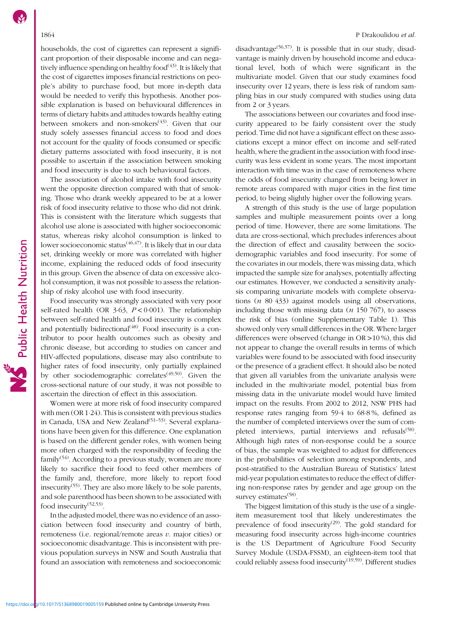households, the cost of cigarettes can represent a significant proportion of their disposable income and can negatively influence spending on healthy food $(43)$ . It is likely that the cost of cigarettes imposes financial restrictions on people's ability to purchase food, but more in-depth data would be needed to verify this hypothesis. Another possible explanation is based on behavioural differences in terms of dietary habits and attitudes towards healthy eating between smokers and non-smokers<sup> $(43)$  $(43)$ </sup>. Given that our study solely assesses financial access to food and does not account for the quality of foods consumed or specific dietary patterns associated with food insecurity, it is not possible to ascertain if the association between smoking and food insecurity is due to such behavioural factors.

The association of alcohol intake with food insecurity went the opposite direction compared with that of smoking. Those who drank weekly appeared to be at a lower risk of food insecurity relative to those who did not drink. This is consistent with the literature which suggests that alcohol use alone is associated with higher socioeconomic status, whereas risky alcohol consumption is linked to lower socioeconomic status<sup>([46](#page-10-0),[47](#page-10-0))</sup>. It is likely that in our data set, drinking weekly or more was correlated with higher income, explaining the reduced odds of food insecurity in this group. Given the absence of data on excessive alcohol consumption, it was not possible to assess the relationship of risky alcohol use with food insecurity.

Food insecurity was strongly associated with very poor self-rated health (OR  $3.63$ ,  $P < 0.001$ ). The relationship between self-rated health and food insecurity is complex and potentially bidirectional<sup>([48\)](#page-10-0)</sup>. Food insecurity is a contributor to poor health outcomes such as obesity and chronic disease, but according to studies on cancer and HIV-affected populations, disease may also contribute to higher rates of food insecurity, only partially explained by other sociodemographic correlates<sup>[\(49](#page-10-0),[50](#page-10-0))</sup>. Given the cross-sectional nature of our study, it was not possible to ascertain the direction of effect in this association.

Women were at more risk of food insecurity compared with men (OR 1·24). This is consistent with previous studies in Canada, USA and New Zealand<sup>([51](#page-10-0)-[53](#page-10-0))</sup>. Several explanations have been given for this difference. One explanation is based on the different gender roles, with women being more often charged with the responsibility of feeding the family<sup> $(54)$  $(54)$ </sup>. According to a previous study, women are more likely to sacrifice their food to feed other members of the family and, therefore, more likely to report food insecurity<sup> $(55)$  $(55)$ </sup>. They are also more likely to be sole parents, and sole parenthood has been shown to be associated with food insecurity<sup>([52,53\)](#page-10-0)</sup>.

In the adjusted model, there was no evidence of an association between food insecurity and country of birth, remoteness (i.e. regional/remote areas  $v$ . major cities) or socioeconomic disadvantage. This is inconsistent with previous population surveys in NSW and South Australia that found an association with remoteness and socioeconomic disadvantage<sup> $(56,57)$  $(56,57)$ </sup>. It is possible that in our study, disadvantage is mainly driven by household income and educational level, both of which were significant in the multivariate model. Given that our study examines food insecurity over 12 years, there is less risk of random sampling bias in our study compared with studies using data from 2 or 3 years.

The associations between our covariates and food insecurity appeared to be fairly consistent over the study period. Time did not have a significant effect on these associations except a minor effect on income and self-rated health, where the gradient in the association with food insecurity was less evident in some years. The most important interaction with time was in the case of remoteness where the odds of food insecurity changed from being lower in remote areas compared with major cities in the first time period, to being slightly higher over the following years.

A strength of this study is the use of large population samples and multiple measurement points over a long period of time. However, there are some limitations. The data are cross-sectional, which precludes inferences about the direction of effect and causality between the sociodemographic variables and food insecurity. For some of the covariates in our models, there was missing data, which impacted the sample size for analyses, potentially affecting our estimates. However, we conducted a sensitivity analysis comparing univariate models with complete observations ( $n$  80 433) against models using all observations, including those with missing data  $(n 150 767)$ , to assess the risk of bias (online Supplementary Table [1\)](https://doi.org/10.1017/S1368980019005159). This showed only very small differences in the OR. Where larger differences were observed (change in OR >10 %), this did not appear to change the overall results in terms of which variables were found to be associated with food insecurity or the presence of a gradient effect. It should also be noted that given all variables from the univariate analysis were included in the multivariate model, potential bias from missing data in the univariate model would have limited impact on the results. From 2002 to 2012, NSW PHS had response rates ranging from 59·4 to 68·8 %, defined as the number of completed interviews over the sum of com-pleted interviews, partial interviews and refusals<sup>[\(58\)](#page-10-0)</sup>. Although high rates of non-response could be a source of bias, the sample was weighted to adjust for differences in the probabilities of selection among respondents, and post-stratified to the Australian Bureau of Statistics' latest mid-year population estimates to reduce the effect of differing non-response rates by gender and age group on the survey estimates<sup>([58](#page-10-0))</sup>.

The biggest limitation of this study is the use of a singleitem measurement tool that likely underestimates the prevalence of food insecurity<sup>[\(29\)](#page-9-0)</sup>. The gold standard for measuring food insecurity across high-income countries is the US Department of Agriculture Food Security Survey Module (USDA-FSSM), an eighteen-item tool that could reliably assess food insecurity<sup>[\(19](#page-9-0)[,59](#page-10-0))</sup>. Different studies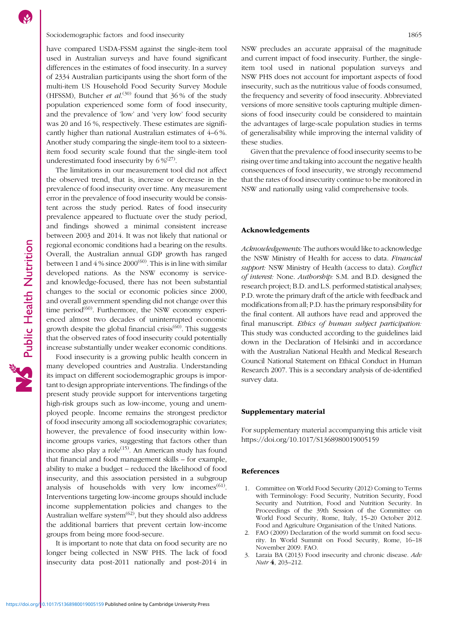# <span id="page-8-0"></span>Sociodemographic factors and food insecurity 1865

have compared USDA-FSSM against the single-item tool used in Australian surveys and have found significant differences in the estimates of food insecurity. In a survey of 2334 Australian participants using the short form of the multi-item US Household Food Security Survey Module (HFSSM), Butcher *et al.*<sup>[\(30\)](#page-9-0)</sup> found that 36% of the study population experienced some form of food insecurity, and the prevalence of 'low' and 'very low' food security was 20 and 16 %, respectively. These estimates are significantly higher than national Australian estimates of 4–6 %. Another study comparing the single-item tool to a sixteenitem food security scale found that the single-item tool underestimated food insecurity by  $6\,\%^{(27)}$  $6\,\%^{(27)}$  $6\,\%^{(27)}$ .

The limitations in our measurement tool did not affect the observed trend, that is, increase or decrease in the prevalence of food insecurity over time. Any measurement error in the prevalence of food insecurity would be consistent across the study period. Rates of food insecurity prevalence appeared to fluctuate over the study period, and findings showed a minimal consistent increase between 2003 and 2014. It was not likely that national or regional economic conditions had a bearing on the results. Overall, the Australian annual GDP growth has ranged between 1 and 4 % since  $2000^{(60)}$  $2000^{(60)}$  $2000^{(60)}$ . This is in line with similar developed nations. As the NSW economy is serviceand knowledge-focused, there has not been substantial changes to the social or economic policies since 2000, and overall government spending did not change over this time period<sup> $(60)$  $(60)$ </sup>. Furthermore, the NSW economy experienced almost two decades of uninterrupted economic growth despite the global financial crisis $(60)$  $(60)$  $(60)$ . This suggests that the observed rates of food insecurity could potentially increase substantially under weaker economic conditions.

Food insecurity is a growing public health concern in many developed countries and Australia. Understanding its impact on different sociodemographic groups is important to design appropriate interventions. The findings of the present study provide support for interventions targeting high-risk groups such as low-income, young and unemployed people. Income remains the strongest predictor of food insecurity among all sociodemographic covariates; however, the prevalence of food insecurity within lowincome groups varies, suggesting that factors other than income also play a role<sup> $(15)$ </sup>. An American study has found that financial and food management skills – for example, ability to make a budget – reduced the likelihood of food insecurity, and this association persisted in a subgroup analysis of households with very low incomes $<sup>(61)</sup>$  $<sup>(61)</sup>$  $<sup>(61)</sup>$ .</sup> Interventions targeting low-income groups should include income supplementation policies and changes to the Australian welfare system $^{(62)}$  $^{(62)}$  $^{(62)}$ , but they should also address the additional barriers that prevent certain low-income groups from being more food-secure.

It is important to note that data on food security are no longer being collected in NSW PHS. The lack of food insecurity data post-2011 nationally and post-2014 in NSW precludes an accurate appraisal of the magnitude and current impact of food insecurity. Further, the singleitem tool used in national population surveys and NSW PHS does not account for important aspects of food insecurity, such as the nutritious value of foods consumed, the frequency and severity of food insecurity. Abbreviated versions of more sensitive tools capturing multiple dimensions of food insecurity could be considered to maintain the advantages of large-scale population studies in terms of generalisability while improving the internal validity of these studies.

Given that the prevalence of food insecurity seems to be rising over time and taking into account the negative health consequences of food insecurity, we strongly recommend that the rates of food insecurity continue to be monitored in NSW and nationally using valid comprehensive tools.

# Acknowledgements

Acknowledgements: The authors would like to acknowledge the NSW Ministry of Health for access to data. Financial support: NSW Ministry of Health (access to data). Conflict of interest: None. Authorship: S.M. and B.D. designed the research project; B.D. and L.S. performed statistical analyses; P.D. wrote the primary draft of the article with feedback and modifications from all; P.D. has the primary responsibility for the final content. All authors have read and approved the final manuscript. Ethics of human subject participation: This study was conducted according to the guidelines laid down in the Declaration of Helsinki and in accordance with the Australian National Health and Medical Research Council National Statement on Ethical Conduct in Human Research 2007. This is a secondary analysis of de-identified survey data.

# Supplementary material

For supplementary material accompanying this article visit <https://doi.org/10.1017/S1368980019005159>

# References

- 1. Committee on World Food Security (2012) Coming to Terms with Terminology: Food Security, Nutrition Security, Food Security and Nutrition, Food and Nutrition Security. In Proceedings of the 39th Session of the Committee on World Food Security, Rome, Italy, 15–20 October 2012. Food and Agriculture Organisation of the United Nations.
- 2. FAO (2009) Declaration of the world summit on food security. In World Summit on Food Security, Rome, 16–18 November 2009. FAO.
- 3. Laraia BA (2013) Food insecurity and chronic disease. Adv Nutr 4, 203–212.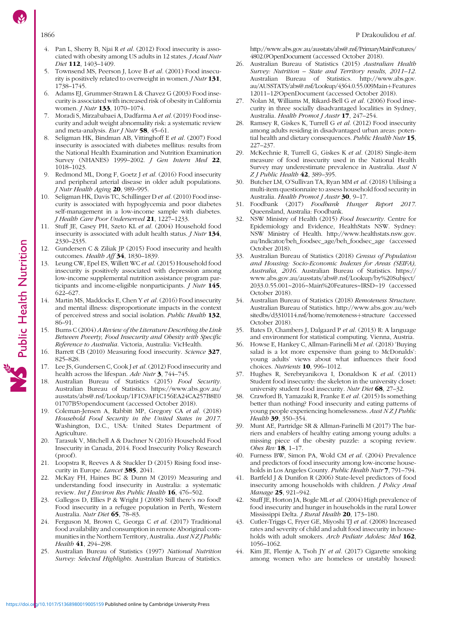- <span id="page-9-0"></span>4. Pan L, Sherry B, Njai R et al. (2012) Food insecurity is associated with obesity among US adults in 12 states. *J Acad Nutr* Diet 112, 1403–1409.
- 5. Townsend MS, Peerson J, Love B et al. (2001) Food insecurity is positively related to overweight in women.  $JNutr$  131, 1738–1745.
- 6. Adams EJ, Grummer-Strawn L & Chavez G (2003) Food insecurity is associated with increased risk of obesity in California women. *J Nutr* **133**, 1070-1074.
- 7. Moradi S, Mirzababaei A, Dadfarma A et al.(2019) Food insecurity and adult weight abnormality risk: a systematic review and meta-analysis. Eur J Nutr 58, 45–61.
- 8. Seligman HK, Bindman AB, Vittinghoff E et al. (2007) Food insecurity is associated with diabetes mellitus: results from the National Health Examination and Nutrition Examination Survey (NHANES) 1999–2002. J Gen Intern Med 22, 1018–1023.
- 9. Redmond ML, Dong F, Goetz J et al. (2016) Food insecurity and peripheral arterial disease in older adult populations. J Nutr Health Aging 20, 989–995.
- 10. Seligman HK, Davis TC, Schillinger D et al. (2010) Food insecurity is associated with hypoglycemia and poor diabetes self-management in a low-income sample with diabetes. J Health Care Poor Underserved 21, 1227–1233.
- 11. Stuff JE, Casey PH, Szeto KL et al. (2004) Household food insecurity is associated with adult health status. J Nutr 134, 2330–2335.
- Gundersen C & Ziliak JP (2015) Food insecurity and health outcomes. Health Aff 34, 1830–1839.
- 13. Leung CW, Epel ES, Willett WC et al. (2015) Household food insecurity is positively associated with depression among low-income supplemental nutrition assistance program participants and income-eligible nonparticipants. J Nutr 145, 622–627.
- 14. Martin MS, Maddocks E, Chen Y et al. (2016) Food insecurity and mental illness: disproportionate impacts in the context of perceived stress and social isolation. Public Health 132, 86–91.
- 15. Burns C (2004) A Review of the Literature Describing the Link Between Poverty, Food Insecurity and Obesity with Specific Reference to Australia. Victoria, Australia: VicHealth.
- 16. Barrett CB (2010) Measuring food insecurity. Science 327, 825–828.
- 17. Lee JS, Gundersen C, Cook J et al. (2012) Food insecurity and health across the lifespan. Adv Nutr 3, 744–745.
- 18. Australian Bureau of Statistics (2015) Food Security. Australian Bureau of Statistics. [https://www.abs.gov.au/](https://www.abs.gov.au/ausstats/abs@.nsf/Lookup/1F1C9AF1C156EA24CA257B8E001707B5?opendocument) [ausstats/abs@.nsf/Lookup/1F1C9AF1C156EA24CA257B8E0](https://www.abs.gov.au/ausstats/abs@.nsf/Lookup/1F1C9AF1C156EA24CA257B8E001707B5?opendocument) [01707B5?opendocument](https://www.abs.gov.au/ausstats/abs@.nsf/Lookup/1F1C9AF1C156EA24CA257B8E001707B5?opendocument) (accessed October 2018).
- 19. Coleman-Jensen A, Rabbitt MP, Gregory CA et al. (2018) Household Food Security in the United States in 2017. Washington, D.C., USA: United States Department of Agriculture.
- 20. Tarasuk V, Mitchell A & Dachner N (2016) Household Food Insecurity in Canada, 2014. Food Insecurity Policy Research (proof).
- 21. Loopstra R, Reeves A & Stuckler D (2015) Rising food insecurity in Europe. *Lancet* 385, 2041.
- 22. McKay FH, Haines BC & Dunn M (2019) Measuring and understanding food insecurity in Australia: a systematic review. Int J Environ Res Public Health 16, 476-502.
- 23. Gallegos D, Ellies P & Wright J (2008) Still there's no food! Food insecurity in a refugee population in Perth, Western Australia. Nutr Diet 65, 78–83.
- 24. Ferguson M, Brown C, Georga C et al. (2017) Traditional food availability and consumption in remote Aboriginal communities in the Northern Territory, Australia. Aust NZJ Public Health **41**, 294-298.
- 25. Australian Bureau of Statistics (1997) National Nutrition Survey: Selected Highlights. Australian Bureau of Statistics.

[http://www.abs.gov.au/ausstats/abs@.nsf/PrimaryMainFeatures/](http://www.abs.gov.au/ausstats/abs@.nsf/PrimaryMainFeatures/4802.0?OpenDocument) [4802.0?OpenDocument](http://www.abs.gov.au/ausstats/abs@.nsf/PrimaryMainFeatures/4802.0?OpenDocument) (accessed October 2018).

- 26. Australian Bureau of Statistics (2015) Australian Health Survey: Nutrition – State and Territory results, 2011–12. Australian Bureau of Statistics. [http://www.abs.gov.](http://www.abs.gov.au/AUSSTATS/abs@.nsf/Lookup/4364.0.55.009Main+Features1201112?OpenDocument) [au/AUSSTATS/abs@.nsf/Lookup/4364.0.55.009Main](http://www.abs.gov.au/AUSSTATS/abs@.nsf/Lookup/4364.0.55.009Main+Features1201112?OpenDocument)+[Features](http://www.abs.gov.au/AUSSTATS/abs@.nsf/Lookup/4364.0.55.009Main+Features1201112?OpenDocument) 12011–[12?OpenDocument](http://www.abs.gov.au/AUSSTATS/abs@.nsf/Lookup/4364.0.55.009Main+Features1201112?OpenDocument) (accessed October 2018).
- 27. Nolan M, Williams M, Rikard-Bell G et al. (2006) Food insecurity in three socially disadvantaged localities in Sydney, Australia. Health Promot J Austr 17, 247–254.
- 28. Ramsey R, Giskes K, Turrell G et al. (2012) Food insecurity among adults residing in disadvantaged urban areas: potential health and dietary consequences. Public Health Nutr 15, 227–237.
- 29. McKechnie R, Turrell G, Giskes K et al. (2018) Single-item measure of food insecurity used in the National Health Survey may underestimate prevalence in Australia. Aust N  $Z$  J Public Health 42, 389-395.
- 30. Butcher LM, O'Sullivan TA, Ryan MM et al. (2018) Utilising a multi-item questionnaire to assess household food security in Australia. Health Promot J Austr 30, 9-17.
- 31. Foodbank (2017) Foodbank Hunger Report 2017. Queensland, Australia: Foodbank.
- 32. NSW Ministry of Health (2015) Food Insecurity. Centre for Epidemiology and Evidence, HealthStats NSW. Sydney: NSW Ministry of Health. [http://www.healthstats.nsw.gov.](http://www.healthstats.nsw.gov.au/Indicator/beh_foodsec_age/beh_foodsec_age) [au/Indicator/beh\\_foodsec\\_age/beh\\_foodsec\\_age](http://www.healthstats.nsw.gov.au/Indicator/beh_foodsec_age/beh_foodsec_age) (accessed October 2018).
- 33. Australian Bureau of Statistics (2018) Census of Population and Housing: Socio-Economic Indexes for Areas (SEIFA), Australia, 2016. Australian Bureau of Statistics. [https://](https://www.abs.gov.au/ausstats/abs@.nsf/Lookup/by%20Subject/2033.0.55.001~2016~Main%20Features~IRSD~19) [www.abs.gov.au/ausstats/abs@.nsf/Lookup/by%20Subject/](https://www.abs.gov.au/ausstats/abs@.nsf/Lookup/by%20Subject/2033.0.55.001~2016~Main%20Features~IRSD~19) [2033.0.55.001~2016~Main%20Features~IRSD~19](https://www.abs.gov.au/ausstats/abs@.nsf/Lookup/by%20Subject/2033.0.55.001~2016~Main%20Features~IRSD~19) (accessed October 2018).
- 34. Australian Bureau of Statistics (2018) Remoteness Structure. Australian Bureau of Statistics. [http://www.abs.gov.au/web](http://www.abs.gov.au/websitedbs/d3310114.nsf/home/remoteness+structure) [sitedbs/d3310114.nsf/home/remoteness](http://www.abs.gov.au/websitedbs/d3310114.nsf/home/remoteness+structure)+[structure](http://www.abs.gov.au/websitedbs/d3310114.nsf/home/remoteness+structure) (accessed October 2018).
- 35. Bates D, Chambers J, Dalgaard P et al. (2013) R: A language and environment for statistical computing. Vienna, Austria.
- 36. Howse E, Hankey C, Allman-Farinelli M et al. (2018) 'Buying salad is a lot more expensive than going to McDonalds': young adults' views about what influences their food choices. Nutrients 10, 996-1012.
- 37. Hughes R, Serebryanikova I, Donaldson K et al. (2011) Student food insecurity: the skeleton in the university closet: university student food insecurity. Nutr Diet 68, 27-32.
- 38. Crawford B, Yamazaki R, Franke E et al. (2015) Is something better than nothing? Food insecurity and eating patterns of young people experiencing homelessness. Aust NZ J Public Health 39, 350-354.
- 39. Munt AE, Partridge SR & Allman-Farinelli M (2017) The barriers and enablers of healthy eating among young adults: a missing piece of the obesity puzzle: a scoping review. Obes Rev **18**, 1–17.
- 40. Furness BW, Simon PA, Wold CM et al. (2004) Prevalence and predictors of food insecurity among low-income households in Los Angeles County. Public Health Nutr 7, 791–794.
- 41. Bartfeld J & Dunifon R (2006) State-level predictors of food insecurity among households with children. J Policy Anal Manage 25, 921-942.
- 42. Stuff JE, Horton JA, Bogle ML et al. (2004) High prevalence of food insecurity and hunger in households in the rural Lower Mississippi Delta. J Rural Health 20, 173–180.
- 43. Cutler-Triggs C, Fryer GE, Miyoshi TJ et al. (2008) Increased rates and severity of child and adult food insecurity in households with adult smokers. Arch Pediatr Adolesc Med 162, 1056–1062.
- 44. Kim JE, Flentje A, Tsoh JY et al. (2017) Cigarette smoking among women who are homeless or unstably housed: